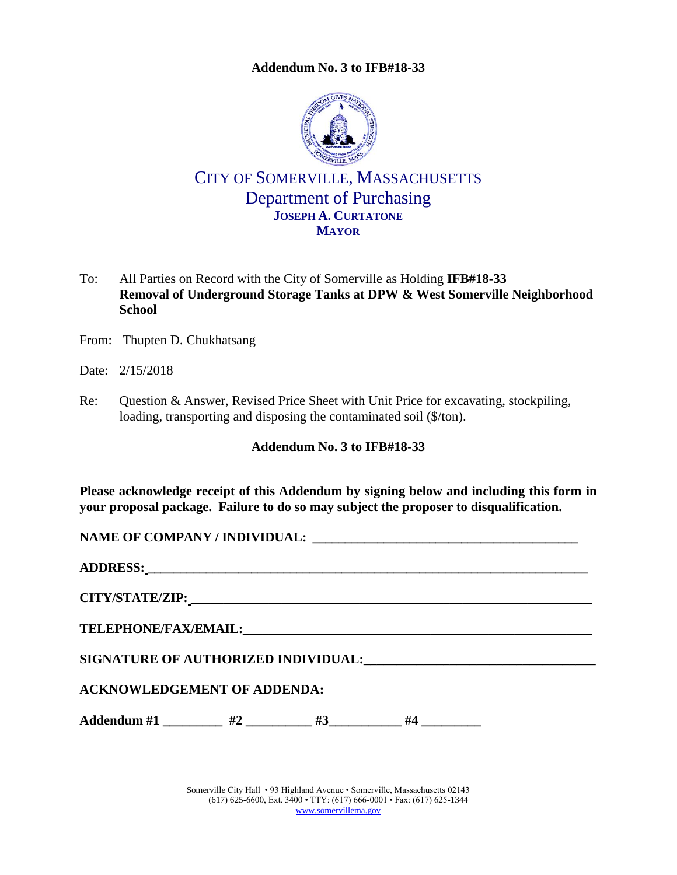**Addendum No. 3 to IFB#18-33**

<span id="page-0-0"></span>

## CITY OF SOMERVILLE, MASSACHUSETTS Department of Purchasing **JOSEPH A. CURTATONE MAYOR**

- To: All Parties on Record with the City of Somerville as Holding **IFB#18-33 Removal of Underground Storage Tanks at DPW & West Somerville Neighborhood School**
- From: Thupten D. Chukhatsang
- Date: 2/15/2018
- Re: Question & Answer, Revised Price Sheet with Unit Price for excavating, stockpiling, loading, transporting and disposing the contaminated soil (\$/ton).

#### **Addendum No. 3 to [IFB#18-33](#page-0-0)**

**Please acknowledge receipt of this Addendum by signing below and including this form in your proposal package. Failure to do so may subject the proposer to disqualification.**

**NAME OF COMPANY / INDIVIDUAL: \_\_\_\_\_\_\_\_\_\_\_\_\_\_\_\_\_\_\_\_\_\_\_\_\_\_\_\_\_\_\_\_\_\_\_\_\_\_\_\_\_**

**ADDRESS: \_\_\_\_\_\_\_\_\_\_\_\_\_\_\_\_\_\_\_\_\_\_\_\_\_\_\_\_\_\_\_\_\_\_\_\_\_\_\_\_\_\_\_\_\_\_\_\_\_\_\_\_\_\_\_\_\_\_\_\_\_\_\_\_\_\_\_\_**

**CITY/STATE/ZIP: \_\_\_\_\_\_\_\_\_\_\_\_\_\_\_\_\_\_\_\_\_\_\_\_\_\_\_\_\_\_\_\_\_\_\_\_\_\_\_\_\_\_\_\_\_\_\_\_\_\_\_\_\_\_\_\_\_\_\_\_\_\_**

**TELEPHONE/FAX/EMAIL:\_\_\_\_\_\_\_\_\_\_\_\_\_\_\_\_\_\_\_\_\_\_\_\_\_\_\_\_\_\_\_\_\_\_\_\_\_\_\_\_\_\_\_\_\_\_\_\_\_\_\_\_\_\_**

**SIGNATURE OF AUTHORIZED INDIVIDUAL:\_\_\_\_\_\_\_\_\_\_\_\_\_\_\_\_\_\_\_\_\_\_\_\_\_\_\_\_\_\_\_\_\_\_\_**

### **ACKNOWLEDGEMENT OF ADDENDA:**

Addendum #1 \_\_\_\_\_\_\_\_\_ #2 \_\_\_\_\_\_\_ #3 \_\_\_\_\_\_ #4 \_\_\_\_\_\_\_

Somerville City Hall • 93 Highland Avenue • Somerville, Massachusetts 02143 (617) 625-6600, Ext. 3400 • TTY: (617) 666-0001 • Fax: (617) 625-1344 [www.somervillema.gov](http://www.somervillema.gov/)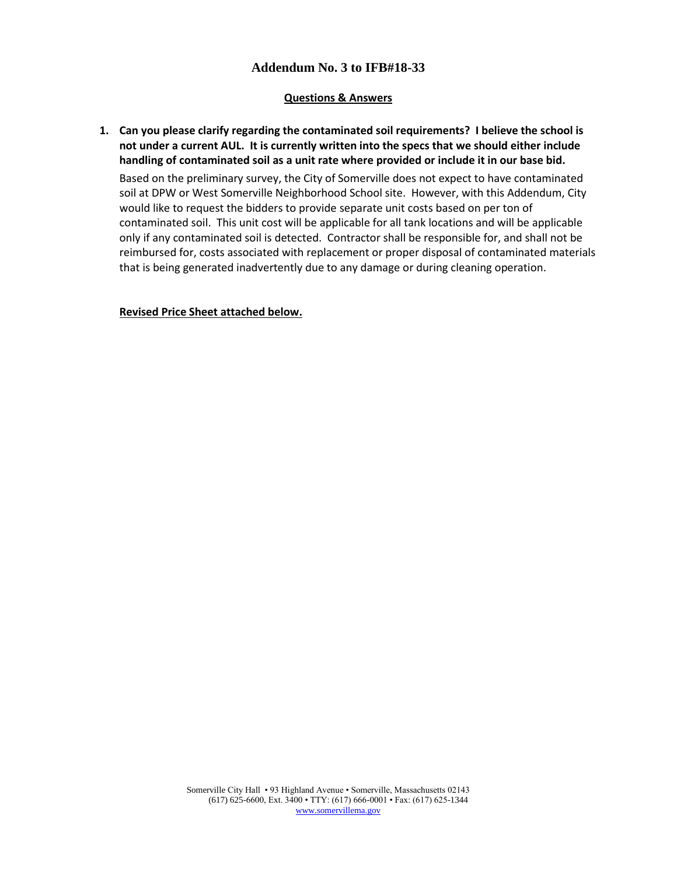#### **Addendum No. 3 to IFB#18-33**

#### **Questions & Answers**

**1. Can you please clarify regarding the contaminated soil requirements? I believe the school is not under a current AUL. It is currently written into the specs that we should either include handling of contaminated soil as a unit rate where provided or include it in our base bid.** 

Based on the preliminary survey, the City of Somerville does not expect to have contaminated soil at DPW or West Somerville Neighborhood School site. However, with this Addendum, City would like to request the bidders to provide separate unit costs based on per ton of contaminated soil. This unit cost will be applicable for all tank locations and will be applicable only if any contaminated soil is detected. Contractor shall be responsible for, and shall not be reimbursed for, costs associated with replacement or proper disposal of contaminated materials that is being generated inadvertently due to any damage or during cleaning operation.

**Revised Price Sheet attached below.**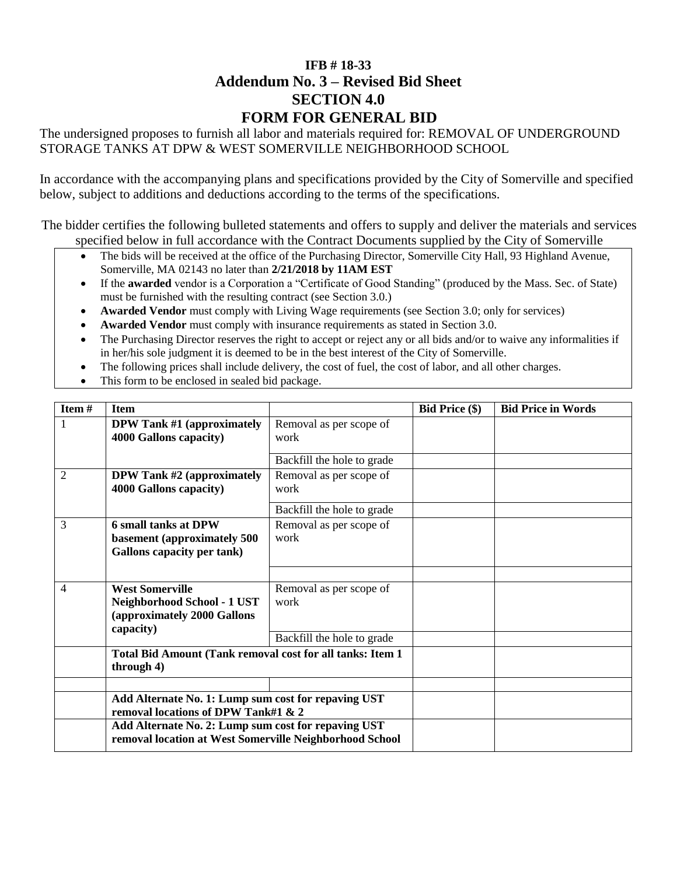### **[IFB # 18-33](#page--1-0) Addendum No. 3 – Revised Bid Sheet SECTION 4.0 FORM FOR GENERAL BID**

The undersigned proposes to furnish all labor and materials required for: [REMOVAL OF UNDERGROUND](#page--1-1)  [STORAGE TANKS AT DPW & WEST SOMERVILLE NEIGHBORHOOD SCHOOL](#page--1-1)

In accordance with the accompanying plans and specifications provided by the City of Somerville and specified below, subject to additions and deductions according to the terms of the specifications.

The bidder certifies the following bulleted statements and offers to supply and deliver the materials and services specified below in full accordance with the Contract Documents supplied by the City of Somerville

- The bids will be received at the office of the Purchasing Director, Somerville City Hall, 93 Highland Avenue, Somerville, MA 02143 no later than **2/21/2018 [by 11AM EST](#page--1-2)**
- If the **awarded** vendor is a Corporation a "Certificate of Good Standing" (produced by the Mass. Sec. of State) must be furnished with the resulting contract (see Section 3.0.)
- **Awarded Vendor** must comply with Living Wage requirements (see Section 3.0; only for services)
- **Awarded Vendor** must comply with insurance requirements as stated in Section 3.0.
- The Purchasing Director reserves the right to accept or reject any or all bids and/or to waive any informalities if in her/his sole judgment it is deemed to be in the best interest of the City of Somerville.
- The following prices shall include delivery, the cost of fuel, the cost of labor, and all other charges.
- This form to be enclosed in sealed bid package.

| Item#          | <b>Item</b>                                                                                                    |                                 | <b>Bid Price (\$)</b> | <b>Bid Price in Words</b> |
|----------------|----------------------------------------------------------------------------------------------------------------|---------------------------------|-----------------------|---------------------------|
|                | <b>DPW Tank #1 (approximately</b>                                                                              | Removal as per scope of         |                       |                           |
|                | 4000 Gallons capacity)                                                                                         | work                            |                       |                           |
|                |                                                                                                                | Backfill the hole to grade      |                       |                           |
| $\overline{2}$ | <b>DPW Tank #2 (approximately</b>                                                                              | Removal as per scope of         |                       |                           |
|                | 4000 Gallons capacity)                                                                                         | work                            |                       |                           |
|                |                                                                                                                | Backfill the hole to grade      |                       |                           |
| 3              | <b>6 small tanks at DPW</b><br>basement (approximately 500                                                     | Removal as per scope of<br>work |                       |                           |
|                | <b>Gallons capacity per tank)</b>                                                                              |                                 |                       |                           |
|                |                                                                                                                |                                 |                       |                           |
| 4              | <b>West Somerville</b>                                                                                         | Removal as per scope of         |                       |                           |
|                | Neighborhood School - 1 UST                                                                                    | work                            |                       |                           |
|                | (approximately 2000 Gallons<br>capacity)                                                                       |                                 |                       |                           |
|                |                                                                                                                | Backfill the hole to grade      |                       |                           |
|                | Total Bid Amount (Tank removal cost for all tanks: Item 1<br>through 4)                                        |                                 |                       |                           |
|                |                                                                                                                |                                 |                       |                           |
|                | Add Alternate No. 1: Lump sum cost for repaving UST<br>removal locations of DPW Tank#1 & 2                     |                                 |                       |                           |
|                | Add Alternate No. 2: Lump sum cost for repaving UST<br>removal location at West Somerville Neighborhood School |                                 |                       |                           |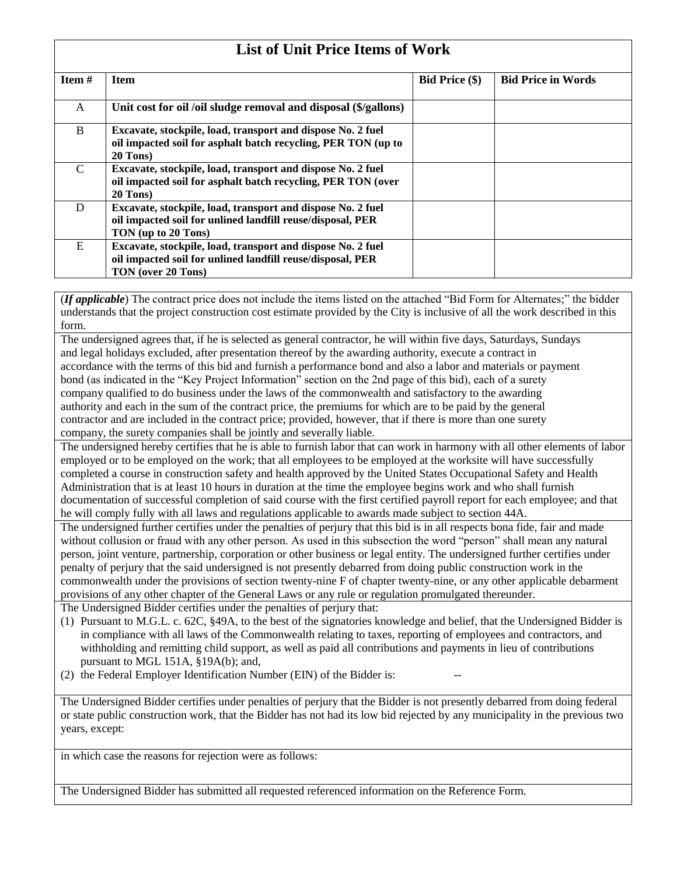# **List of Unit Price Items of Work**

| <b>Item</b> $#$ | <b>Item</b>                                                     | <b>Bid Price (\$)</b> | <b>Bid Price in Words</b> |  |  |
|-----------------|-----------------------------------------------------------------|-----------------------|---------------------------|--|--|
| A               | Unit cost for oil /oil sludge removal and disposal (\$/gallons) |                       |                           |  |  |
|                 |                                                                 |                       |                           |  |  |
| B               | Excavate, stockpile, load, transport and dispose No. 2 fuel     |                       |                           |  |  |
|                 | oil impacted soil for asphalt batch recycling, PER TON (up to   |                       |                           |  |  |
|                 | 20 Tons)                                                        |                       |                           |  |  |
| C               | Excavate, stockpile, load, transport and dispose No. 2 fuel     |                       |                           |  |  |
|                 | oil impacted soil for asphalt batch recycling, PER TON (over    |                       |                           |  |  |
|                 | $20$ Tons)                                                      |                       |                           |  |  |
| D               | Excavate, stockpile, load, transport and dispose No. 2 fuel     |                       |                           |  |  |
|                 | oil impacted soil for unlined landfill reuse/disposal, PER      |                       |                           |  |  |
|                 | TON (up to 20 Tons)                                             |                       |                           |  |  |
| E               | Excavate, stockpile, load, transport and dispose No. 2 fuel     |                       |                           |  |  |
|                 | oil impacted soil for unlined landfill reuse/disposal, PER      |                       |                           |  |  |
|                 | TON (over 20 Tons)                                              |                       |                           |  |  |

(*If applicable*) The contract price does not include the items listed on the attached "Bid Form for Alternates;" the bidder understands that the project construction cost estimate provided by the City is inclusive of all the work described in this form.

The undersigned agrees that, if he is selected as general contractor, he will within five days, Saturdays, Sundays and legal holidays excluded, after presentation thereof by the awarding authority, execute a contract in accordance with the terms of this bid and furnish a performance bond and also a labor and materials or payment bond (as indicated in the "Key Project Information" section on the 2nd page of this bid), each of a surety company qualified to do business under the laws of the commonwealth and satisfactory to the awarding authority and each in the sum of the contract price, the premiums for which are to be paid by the general contractor and are included in the contract price; provided, however, that if there is more than one surety company, the surety companies shall be jointly and severally liable.

The undersigned hereby certifies that he is able to furnish labor that can work in harmony with all other elements of labor employed or to be employed on the work; that all employees to be employed at the worksite will have successfully completed a course in construction safety and health approved by the United States Occupational Safety and Health Administration that is at least 10 hours in duration at the time the employee begins work and who shall furnish documentation of successful completion of said course with the first certified payroll report for each employee; and that he will comply fully with all laws and regulations applicable to awards made subject to section 44A.

The undersigned further certifies under the penalties of perjury that this bid is in all respects bona fide, fair and made without collusion or fraud with any other person. As used in this subsection the word "person" shall mean any natural person, joint venture, partnership, corporation or other business or legal entity. The undersigned further certifies under penalty of perjury that the said undersigned is not presently debarred from doing public construction work in the commonwealth under the provisions of section twenty-nine F of chapter twenty-nine, or any other applicable debarment provisions of any other chapter of the General Laws or any rule or regulation promulgated thereunder.

The Undersigned Bidder certifies under the penalties of perjury that:

- (1) Pursuant to M.G.L. c. 62C, §49A, to the best of the signatories knowledge and belief, that the Undersigned Bidder is in compliance with all laws of the Commonwealth relating to taxes, reporting of employees and contractors, and withholding and remitting child support, as well as paid all contributions and payments in lieu of contributions pursuant to MGL 151A, §19A(b); and,
- (2) the Federal Employer Identification Number (EIN) of the Bidder is:

The Undersigned Bidder certifies under penalties of perjury that the Bidder is not presently debarred from doing federal or state public construction work, that the Bidder has not had its low bid rejected by any municipality in the previous two years, except:

in which case the reasons for rejection were as follows:

The Undersigned Bidder has submitted all requested referenced information on the Reference Form.